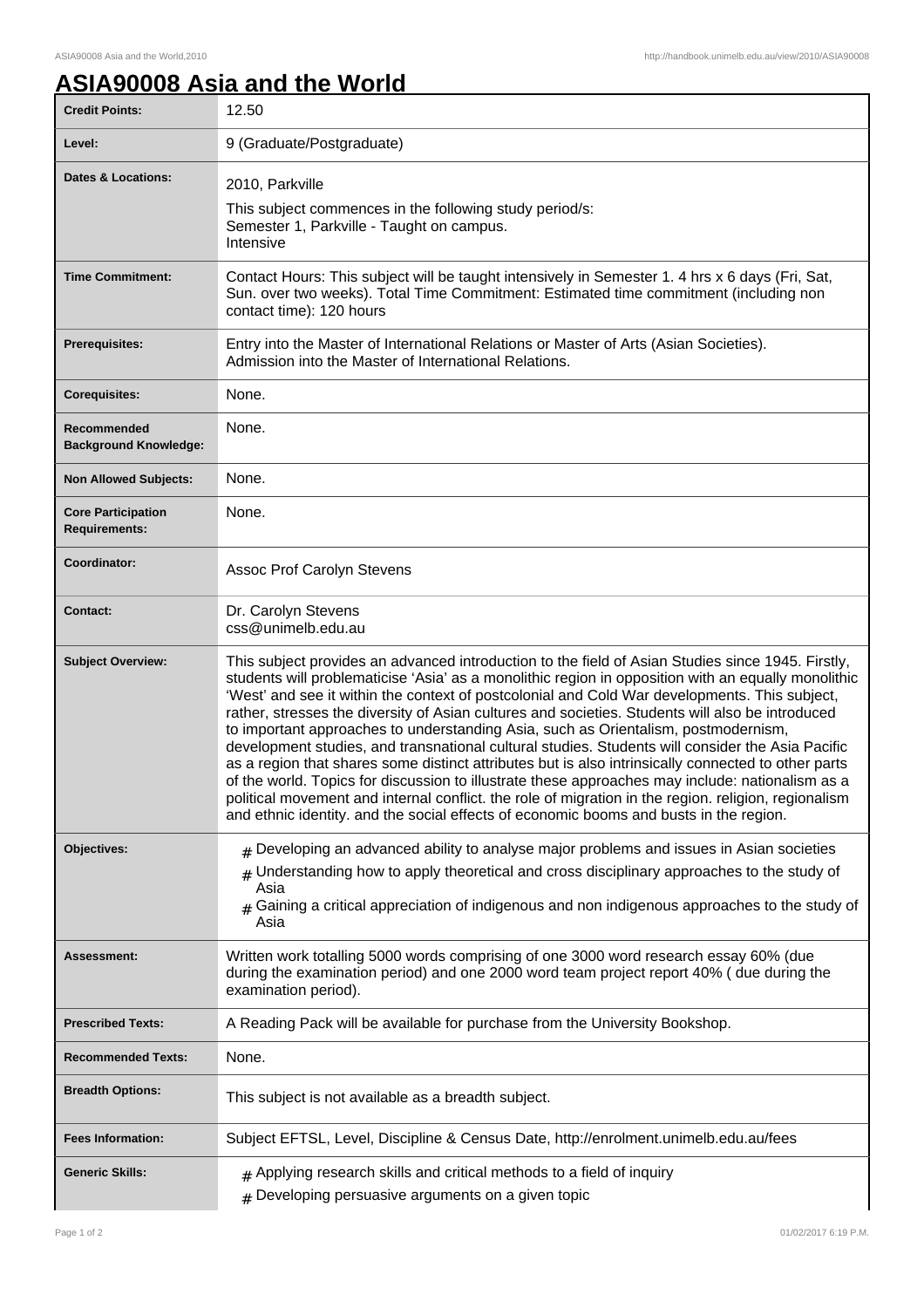٦

## **ASIA90008 Asia and the World**

| <b>Credit Points:</b>                             | 12.50                                                                                                                                                                                                                                                                                                                                                                                                                                                                                                                                                                                                                                                                                                                                                                                                                                                                                                                                                                                                                |
|---------------------------------------------------|----------------------------------------------------------------------------------------------------------------------------------------------------------------------------------------------------------------------------------------------------------------------------------------------------------------------------------------------------------------------------------------------------------------------------------------------------------------------------------------------------------------------------------------------------------------------------------------------------------------------------------------------------------------------------------------------------------------------------------------------------------------------------------------------------------------------------------------------------------------------------------------------------------------------------------------------------------------------------------------------------------------------|
| Level:                                            | 9 (Graduate/Postgraduate)                                                                                                                                                                                                                                                                                                                                                                                                                                                                                                                                                                                                                                                                                                                                                                                                                                                                                                                                                                                            |
| <b>Dates &amp; Locations:</b>                     | 2010, Parkville<br>This subject commences in the following study period/s:<br>Semester 1, Parkville - Taught on campus.<br>Intensive                                                                                                                                                                                                                                                                                                                                                                                                                                                                                                                                                                                                                                                                                                                                                                                                                                                                                 |
| <b>Time Commitment:</b>                           | Contact Hours: This subject will be taught intensively in Semester 1. 4 hrs x 6 days (Fri, Sat,<br>Sun. over two weeks). Total Time Commitment: Estimated time commitment (including non<br>contact time): 120 hours                                                                                                                                                                                                                                                                                                                                                                                                                                                                                                                                                                                                                                                                                                                                                                                                 |
| <b>Prerequisites:</b>                             | Entry into the Master of International Relations or Master of Arts (Asian Societies).<br>Admission into the Master of International Relations.                                                                                                                                                                                                                                                                                                                                                                                                                                                                                                                                                                                                                                                                                                                                                                                                                                                                       |
| <b>Corequisites:</b>                              | None.                                                                                                                                                                                                                                                                                                                                                                                                                                                                                                                                                                                                                                                                                                                                                                                                                                                                                                                                                                                                                |
| Recommended<br><b>Background Knowledge:</b>       | None.                                                                                                                                                                                                                                                                                                                                                                                                                                                                                                                                                                                                                                                                                                                                                                                                                                                                                                                                                                                                                |
| <b>Non Allowed Subjects:</b>                      | None.                                                                                                                                                                                                                                                                                                                                                                                                                                                                                                                                                                                                                                                                                                                                                                                                                                                                                                                                                                                                                |
| <b>Core Participation</b><br><b>Requirements:</b> | None.                                                                                                                                                                                                                                                                                                                                                                                                                                                                                                                                                                                                                                                                                                                                                                                                                                                                                                                                                                                                                |
| Coordinator:                                      | Assoc Prof Carolyn Stevens                                                                                                                                                                                                                                                                                                                                                                                                                                                                                                                                                                                                                                                                                                                                                                                                                                                                                                                                                                                           |
| <b>Contact:</b>                                   | Dr. Carolyn Stevens<br>css@unimelb.edu.au                                                                                                                                                                                                                                                                                                                                                                                                                                                                                                                                                                                                                                                                                                                                                                                                                                                                                                                                                                            |
| <b>Subject Overview:</b>                          | This subject provides an advanced introduction to the field of Asian Studies since 1945. Firstly,<br>students will problematicise 'Asia' as a monolithic region in opposition with an equally monolithic<br>'West' and see it within the context of postcolonial and Cold War developments. This subject,<br>rather, stresses the diversity of Asian cultures and societies. Students will also be introduced<br>to important approaches to understanding Asia, such as Orientalism, postmodernism,<br>development studies, and transnational cultural studies. Students will consider the Asia Pacific<br>as a region that shares some distinct attributes but is also intrinsically connected to other parts<br>of the world. Topics for discussion to illustrate these approaches may include: nationalism as a<br>political movement and internal conflict. the role of migration in the region. religion, regionalism<br>and ethnic identity. and the social effects of economic booms and busts in the region. |
| Objectives:                                       | $#$ Developing an advanced ability to analyse major problems and issues in Asian societies<br>$#$ Understanding how to apply theoretical and cross disciplinary approaches to the study of<br>Asia<br>Gaining a critical appreciation of indigenous and non indigenous approaches to the study of<br>#<br>Asia                                                                                                                                                                                                                                                                                                                                                                                                                                                                                                                                                                                                                                                                                                       |
| <b>Assessment:</b>                                | Written work totalling 5000 words comprising of one 3000 word research essay 60% (due<br>during the examination period) and one 2000 word team project report 40% ( due during the<br>examination period).                                                                                                                                                                                                                                                                                                                                                                                                                                                                                                                                                                                                                                                                                                                                                                                                           |
| <b>Prescribed Texts:</b>                          | A Reading Pack will be available for purchase from the University Bookshop.                                                                                                                                                                                                                                                                                                                                                                                                                                                                                                                                                                                                                                                                                                                                                                                                                                                                                                                                          |
| <b>Recommended Texts:</b>                         | None.                                                                                                                                                                                                                                                                                                                                                                                                                                                                                                                                                                                                                                                                                                                                                                                                                                                                                                                                                                                                                |
| <b>Breadth Options:</b>                           | This subject is not available as a breadth subject.                                                                                                                                                                                                                                                                                                                                                                                                                                                                                                                                                                                                                                                                                                                                                                                                                                                                                                                                                                  |
| <b>Fees Information:</b>                          | Subject EFTSL, Level, Discipline & Census Date, http://enrolment.unimelb.edu.au/fees                                                                                                                                                                                                                                                                                                                                                                                                                                                                                                                                                                                                                                                                                                                                                                                                                                                                                                                                 |
| <b>Generic Skills:</b>                            | $#$ Applying research skills and critical methods to a field of inquiry<br>$#$ Developing persuasive arguments on a given topic                                                                                                                                                                                                                                                                                                                                                                                                                                                                                                                                                                                                                                                                                                                                                                                                                                                                                      |